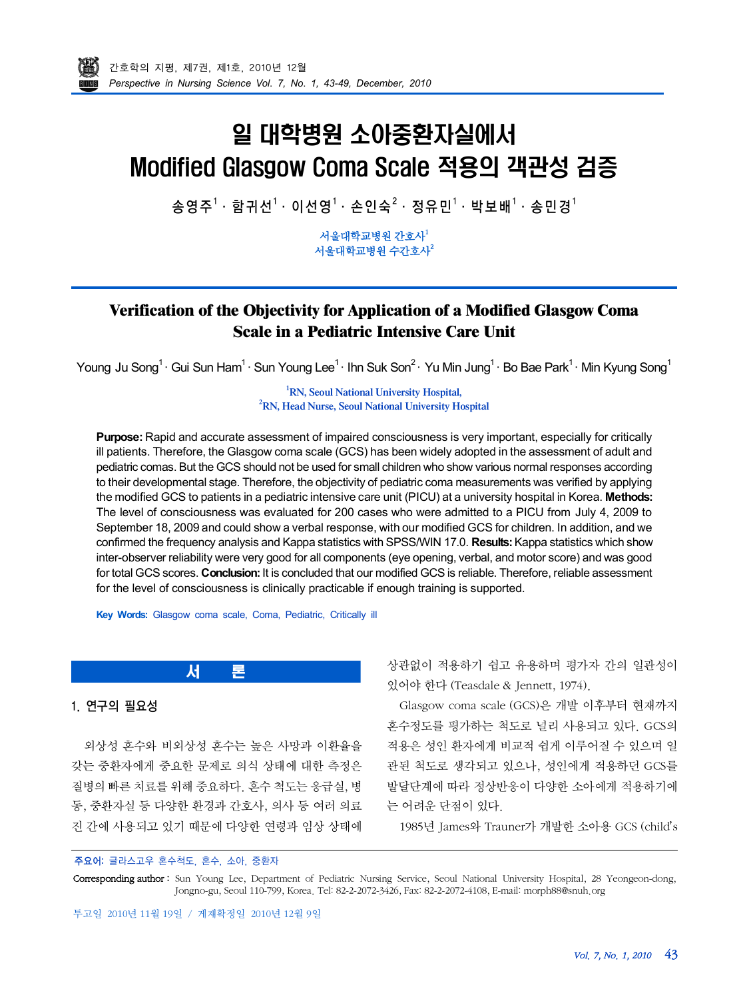# 일 대학병원 소아중환자실에서 Modified Glasgow Coma Scale 적용의 객관성 검증

송영주<sup>1</sup>· 함귀선<sup>1</sup>· 이선영<sup>1</sup>· 손인순<sup>2</sup>· 정유민<sup>1</sup>· 박보배<sup>1</sup>· 송민경<sup>1</sup>

서울대학교병원 간호사 $^{\rm 1}$ 서울대학교병원 수간호사 $^2$ 

# **Verification of the Objectivity for Application of a Modified Glasgow Coma Scale in a Pediatric Intensive Care Unit**

Young Ju Song<sup>1 .</sup> Gui Sun Ham<sup>1 .</sup> Sun Young Lee<sup>1 .</sup> Ihn Suk Son<sup>2 .</sup> Yu Min Jung<sup>1 .</sup> Bo Bae Park<sup>1 .</sup> Min Kyung Song<sup>1</sup>

**<sup>1</sup>RN, Seoul National University Hospital, <sup>2</sup>RN, Head Nurse, Seoul National University Hospital**

**Purpose:** Rapid and accurate assessment of impaired consciousness is very important, especially for critically ill patients. Therefore, the Glasgow coma scale (GCS) has been widely adopted in the assessment of adult and pediatric comas. But the GCS should not be used for small children who show various normal responses according to their developmental stage. Therefore, the objectivity of pediatric coma measurements was verified by applying the modified GCS to patients in a pediatric intensive care unit (PICU) at a university hospital in Korea. **Methods:** The level of consciousness was evaluated for 200 cases who were admitted to a PICU from July 4, 2009 to September 18, 2009 and could show a verbal response, with our modified GCS for children. In addition, and we confirmed the frequency analysis and Kappa statistics with SPSS/WIN 17.0. **Results:**Kappa statistics which show inter-observer reliability were very good for all components (eye opening, verbal, and motor score) and was good for total GCS scores. **Conclusion:**It is concluded that our modified GCS is reliable. Therefore, reliable assessment for the level of consciousness is clinically practicable if enough training is supported.

**Key Words:** Glasgow coma scale, Coma, Pediatric, Critically ill

외상성 혼수와 비외상성 혼수는 높은 사망과 이환율을 갖는 중환자에게 중요한 문제로 의식 상태에 대한 측정은 질병의 빠른 치료를 위해 중요하다. 혼수 척도는 응급실, 병 동, 중환자실 등 다양한 환경과 간호사, 의사 등 여러 의료 진 간에 사용되고 있기 때문에 다양한 연령과 임상 상태에

상관없이 적용하기 쉽고 유용하며 평가자 간의 일관성이 있어야 한다 (Teasdale & Jennett, 1974).

Glasgow coma scale (GCS)은 개발 이후부터 현재까지 혼수정도를 평가하는 척도로 널리 사용되고 있다. GCS의 적용은 성인 환자에게 비교적 쉽게 이루어질 수 있으며 일 관된 척도로 생각되고 있으나, 성인에게 적용하던 GCS를 발달단계에 따라 정상반응이 다양한 소아에게 적용하기에 는 어려운 단점이 있다.

1985년 James와 Trauner가 개발한 소아용 GCS (child s

# 주요어: 글라스고우 혼수척도, 혼수, 소아, 중환자

1. 연구의 필요성

Corresponding author: Sun Young Lee, Department of Pediatric Nursing Service, Seoul National University Hospital, 28 Yeongeon-dong, Jongno-gu, Seoul 110-799, Korea. Tel: 82-2-2072-3426, Fax: 82-2-2072-4108, E-mail: morph88@snuh.org

서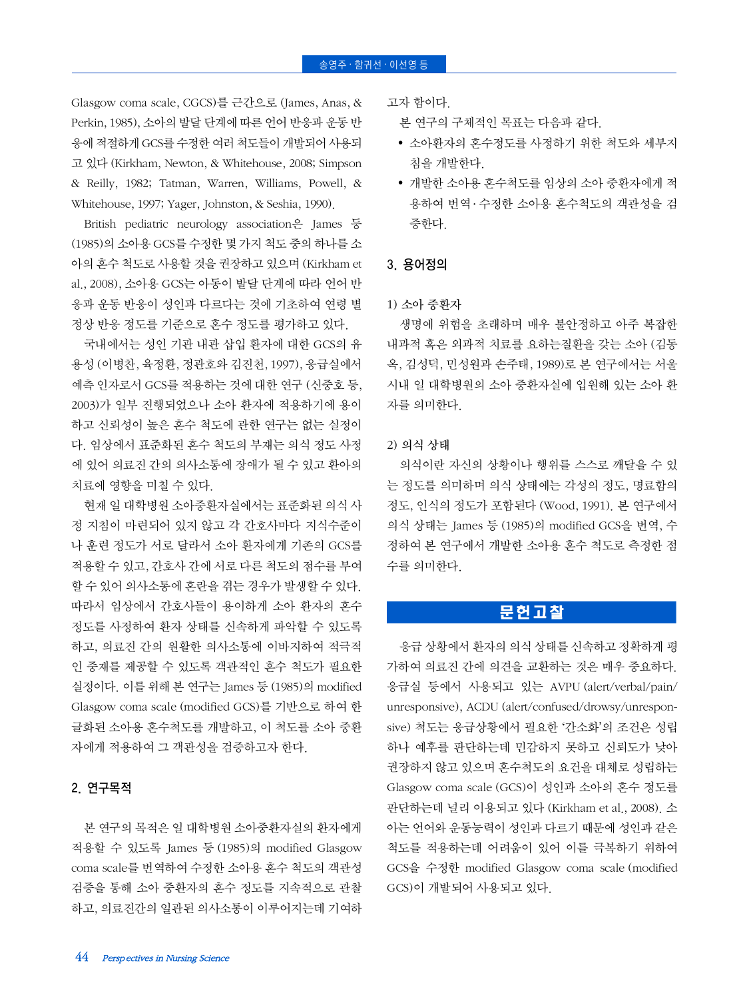Glasgow coma scale, CGCS)를 근간으로 (James, Anas, & Perkin, 1985), 소아의 발달 단계에 따른 언어 반응과 운동 반 응에 적절하게 GCS를 수정한 여러 척도들이 개발되어 사용되 고 있다 (Kirkham, Newton, & Whitehouse, 2008; Simpson & Reilly, 1982; Tatman, Warren, Williams, Powell, & Whitehouse, 1997; Yager, Johnston, & Seshia, 1990).

British pediatric neurology association은 James 등 (1985)의 소아용 GCS를 수정한 몇 가지 척도 중의 하나를 소 아의 혼수 척도로 사용할 것을 권장하고 있으며 (Kirkham et al., 2008), 소아용 GCS는 아동이 발달 단계에 따라 언어 반 응과 운동 반응이 성인과 다르다는 것에 기초하여 연령 별 정상 반응 정도를 기준으로 혼수 정도를 평가하고 있다.

국내에서는 성인 기관 내관 삽입 환자에 대한 GCS의 유 용성 (이병찬, 육정환, 정관호와 김진천, 1997), 응급실에서 예측 인자로서 GCS를 적용하는 것에 대한 연구 (신중호 등, 2003)가 일부 진행되었으나 소아 환자에 적용하기에 용이 하고 신뢰성이 높은 혼수 척도에 관한 연구는 없는 실정이 다. 임상에서 표준화된 혼수 척도의 부재는 의식 정도 사정 에 있어 의료진 간의 의사소통에 장애가 될 수 있고 환아의 치료에 영향을 미칠 수 있다.

현재 일 대학병원 소아중환자실에서는 표준화된 의식 사 정 지침이 마련되어 있지 않고 각 간호사마다 지식수준이 나 훈련 정도가 서로 달라서 소아 환자에게 기존의 GCS를 적용할 수 있고, 간호사 간에 서로 다른 척도의 점수를 부여 할 수 있어 의사소통에 혼란을 겪는 경우가 발생할 수 있다. 따라서 임상에서 간호사들이 용이하게 소아 환자의 혼수 정도를 사정하여 환자 상태를 신속하게 파악할 수 있도록 하고, 의료진 간의 원활한 의사소통에 이바지하여 적극적 인 중재를 제공할 수 있도록 객관적인 혼수 척도가 필요한 실정이다. 이를 위해 본 연구는 James 등 (1985)의 modified Glasgow coma scale (modified GCS)를 기반으로 하여 한 글화된 소아용 혼수척도를 개발하고, 이 척도를 소아 중환 자에게 적용하여 그 객관성을 검증하고자 한다.

#### 2. 연구목적

본 연구의 목적은 일 대학병원 소아중환자실의 환자에게 적용할 수 있도록 James 등 (1985)의 modified Glasgow coma scale를 번역하여 수정한 소아용 혼수 척도의 객관성 검증을 통해 소아 중환자의 혼수 정도를 지속적으로 관찰 하고, 의료진간의 일관된 의사소통이 이루어지는데 기여하 고자 함이다.

본 연구의 구체적인 목표는 다음과 같다.

- 소아환자의 혼수정도를 사정하기 위한 척도와 세부지 침을 개발한다.
- 개발한 소아용 혼수척도를 임상의 소아 중환자에게 적 용하여 번역 ․ 수정한 소아용 혼수척도의 객관성을 검 증한다.

#### 3. 용어정의

1) 소아 중환자

생명에 위험을 초래하며 매우 불안정하고 아주 복잡한 내과적 혹은 외과적 치료를 요하는질환을 갖는 소아 (김동 옥, 김성덕, 민성원과 손주태, 1989)로 본 연구에서는 서울 시내 일 대학병원의 소아 중환자실에 입원해 있는 소아 환 자를 의미한다.

#### 2) 의식 상태

의식이란 자신의 상황이나 행위를 스스로 깨달을 수 있 는 정도를 의미하며 의식 상태에는 각성의 정도, 명료함의 정도, 인식의 정도가 포함된다 (Wood, 1991). 본 연구에서 의식 상태는 James 등 (1985)의 modified GCS을 번역, 수 정하여 본 연구에서 개발한 소아용 혼수 척도로 측정한 점 수를 의미한다.

# 문헌고찰

응급 상황에서 환자의 의식 상태를 신속하고 정확하게 평 가하여 의료진 간에 의견을 교환하는 것은 매우 중요하다. 응급실 등에서 사용되고 있는 AVPU (alert/verbal/pain/ unresponsive), ACDU (alert/confused/drowsy/unresponsive) 척도는 응급상황에서 필요한 간소화 의 조건은 성립 하나 예후를 판단하는데 민감하지 못하고 신뢰도가 낮아 권장하지 않고 있으며 혼수척도의 요건을 대체로 성립하는 Glasgow coma scale (GCS)이 성인과 소아의 혼수 정도를 판단하는데 널리 이용되고 있다 (Kirkham et al., 2008). 소 아는 언어와 운동능력이 성인과 다르기 때문에 성인과 같은 척도를 적용하는데 어려움이 있어 이를 극복하기 위하여 GCS을 수정한 modified Glasgow coma scale (modified GCS)이 개발되어 사용되고 있다.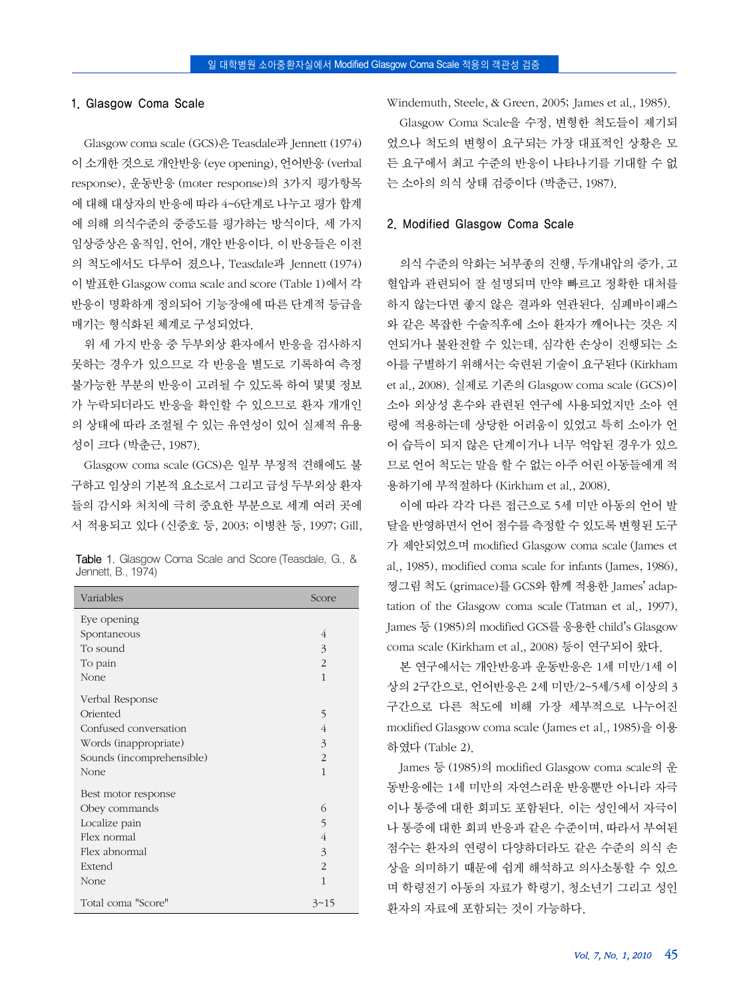#### 1. Glasgow Coma Scale

Glasgow coma scale (GCS)은 Teasdale과 Jennett (1974) 이 소개한 것으로 개안반응 (eye opening), 언어반응 (verbal response), 운동반응 (moter response)의 3가지 평가항목 에 대해 대상자의 반응에 따라 4~6단계로 나누고 평가 합계 에 의해 의식수준의 중증도를 평가하는 방식이다. 세 가지 임상증상은 움직임, 언어, 개안 반응이다. 이 반응들은 이전 의 척도에서도 다루어 졌으나, Teasdale과 Jennett (1974) 이 발표한 Glasgow coma scale and score (Table 1)에서 각 반응이 명확하게 정의되어 기능장애에 따른 단계적 등급을 매기는 형식화된 체계로 구성되었다.

위 세 가지 반응 중 두부외상 환자에서 반응을 검사하지 못하는 경우가 있으므로 각 반응을 별도로 기록하여 측정 불가능한 부분의 반응이 고려될 수 있도록 하여 몇몇 정보 가 누락되더라도 반응을 확인할 수 있으므로 환자 개개인 의 상태에 따라 조절될 수 있는 유연성이 있어 실제적 유용 성이 크다 (박춘근, 1987).

Glasgow coma scale (GCS)은 일부 부정적 견해에도 불 구하고 임상의 기본적 요소로서 그리고 급성 두부외상 환자 들의 감시와 처치에 극히 중요한 부분으로 세계 여러 곳에 서 적용되고 있다 (신중호 등, 2003; 이병찬 등, 1997; Gill,

| <b>Table 1.</b> Glasgow Coma Scale and Score (Teasdale, G., & |  |  |  |
|---------------------------------------------------------------|--|--|--|
| Jennett, B., 1974)                                            |  |  |  |

| Variables                 | Score          |
|---------------------------|----------------|
| Eye opening               |                |
| Spontaneous               | 4              |
| To sound                  | 3              |
| To pain                   | $\overline{c}$ |
| None                      | 1              |
| Verbal Response           |                |
| Oriented                  | 5              |
| Confused conversation     | $\overline{4}$ |
| Words (inappropriate)     | 3              |
| Sounds (incomprehensible) | $\overline{2}$ |
| None                      | 1              |
| Best motor response       |                |
| Obey commands             | 6              |
| Localize pain             | 5              |
| Flex normal               | 4              |
| Flex abnormal             | 3              |
| Extend                    | $\overline{2}$ |
| None                      | 1              |
| Total coma "Score"        | $3 - 15$       |

Windemuth, Steele, & Green, 2005; James et al., 1985).

Glasgow Coma Scale을 수정, 변형한 척도들이 제기되 었으나 척도의 변형이 요구되는 가장 대표적인 상황은 모 든 요구에서 최고 수준의 반응이 나타나기를 기대할 수 없 는 소아의 의식 상태 검증이다 (박춘근, 1987).

#### 2. Modified Glasgow Coma Scale

의식 수준의 악화는 뇌부종의 진행, 두개내압의 증가, 고 혈압과 관련되어 잘 설명되며 만약 빠르고 정확한 대처를 하지 않는다면 좋지 않은 결과와 연관된다. 심폐바이패스 와 같은 복잡한 수술직후에 소아 환자가 깨어나는 것은 지 연되거나 불완전할 수 있는데, 심각한 손상이 진행되는 소 아를 구별하기 위해서는 숙련된 기술이 요구된다 (Kirkham et al., 2008). 실제로 기존의 Glasgow coma scale (GCS)이 소아 외상성 혼수와 관련된 연구에 사용되었지만 소아 연 령에 적용하는데 상당한 어려움이 있었고 특히 소아가 언 어 습득이 되지 않은 단계이거나 너무 억압된 경우가 있으 므로 언어 척도는 말을 할 수 없는 아주 어린 아동들에게 적 용하기에 부적절하다 (Kirkham et al., 2008).

이에 따라 각각 다른 접근으로 5세 미만 아동의 언어 발 달을 반영하면서 언어 점수를 측정할 수 있도록 변형된 도구 가 제안되었으며 modified Glasgow coma scale (James et al., 1985), modified coma scale for infants (James, 1986), 찡그림 척도 (grimace)를 GCS와 함께 적용한 James adaptation of the Glasgow coma scale (Tatman et al., 1997), James 등 (1985)의 modified GCS를 응용한 child's Glasgow coma scale (Kirkham et al., 2008) 등이 연구되어 왔다.

본 연구에서는 개안반응과 운동반응은 1세 미만/1세 이 상의 2구간으로, 언어반응은 2세 미만/2~5세/5세 이상의 3 구간으로 다른 척도에 비해 가장 세부적으로 나누어진 modified Glasgow coma scale (James et al., 1985)을 이용 하였다 (Table 2).

James 등 (1985)의 modified Glasgow coma scale의 운 동반응에는 1세 미만의 자연스러운 반응뿐만 아니라 자극 이나 통증에 대한 회피도 포함된다. 이는 성인에서 자극이 나 통증에 대한 회피 반응과 같은 수준이며, 따라서 부여된 점수는 환자의 연령이 다양하더라도 같은 수준의 의식 손 상을 의미하기 때문에 쉽게 해석하고 의사소통할 수 있으 며 학령전기 아동의 자료가 학령기, 청소년기 그리고 성인 환자의 자료에 포함되는 것이 가능하다.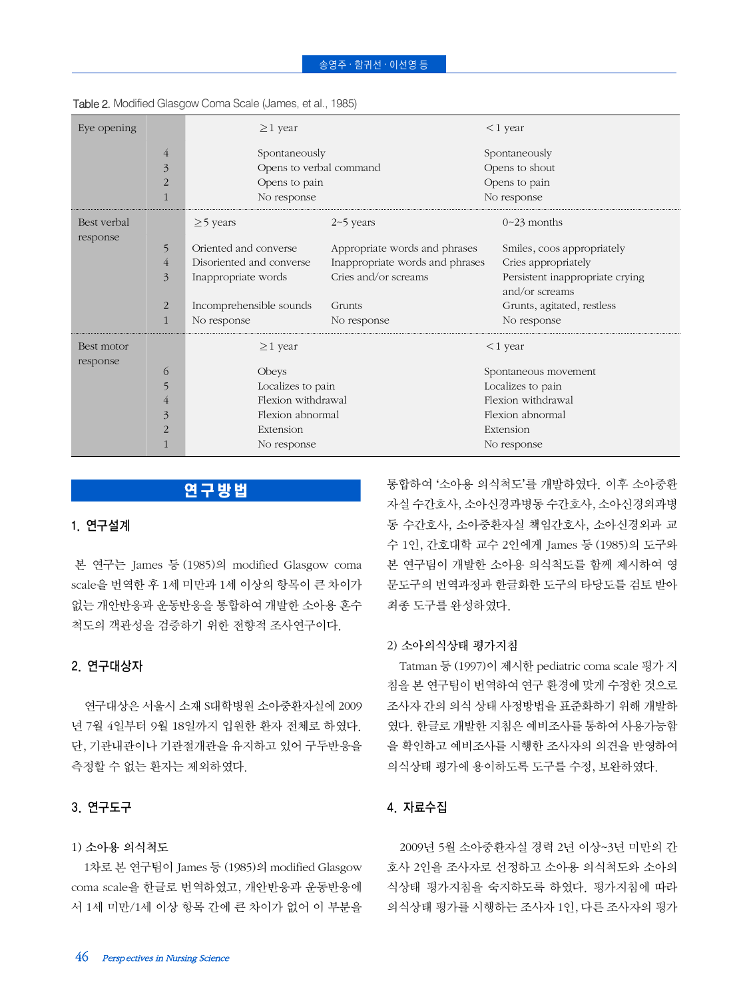| Eye opening            |                                       | $\geq$ 1 year                                                            |                                                                                          | $<$ 1 year                                                                                             |  |  |  |
|------------------------|---------------------------------------|--------------------------------------------------------------------------|------------------------------------------------------------------------------------------|--------------------------------------------------------------------------------------------------------|--|--|--|
|                        | $\overline{4}$<br>3<br>$\overline{2}$ | Spontaneously<br>Opens to verbal command<br>Opens to pain<br>No response |                                                                                          | Spontaneously<br>Opens to shout<br>Opens to pain<br>No response                                        |  |  |  |
| Best verbal            |                                       | $\geq$ 5 years                                                           | $2\neg 5$ years                                                                          | $0-23$ months                                                                                          |  |  |  |
| response               | 5<br>$\overline{4}$<br>3              | Oriented and converse<br>Disoriented and converse<br>Inappropriate words | Appropriate words and phrases<br>Inappropriate words and phrases<br>Cries and/or screams | Smiles, coos appropriately<br>Cries appropriately<br>Persistent inappropriate crying<br>and/or screams |  |  |  |
|                        | 2                                     | Incomprehensible sounds<br>No response                                   | Grunts<br>No response                                                                    | Grunts, agitated, restless<br>No response                                                              |  |  |  |
| Best motor<br>response |                                       | $\geq$ 1 year                                                            |                                                                                          | $<$ 1 year                                                                                             |  |  |  |
|                        | $\circ$                               | Obeys                                                                    |                                                                                          | Spontaneous movement                                                                                   |  |  |  |
|                        | 5                                     | Localizes to pain<br>Flexion withdrawal                                  |                                                                                          | Localizes to pain<br>Flexion withdrawal                                                                |  |  |  |
|                        | 4<br>3                                | Flexion abnormal                                                         |                                                                                          | Flexion abnormal                                                                                       |  |  |  |
|                        | 2                                     | Extension                                                                |                                                                                          | Extension                                                                                              |  |  |  |
|                        |                                       | No response                                                              |                                                                                          | No response                                                                                            |  |  |  |

| Table 2. Modified Glasgow Coma Scale (James, et al., 1985) |  |  |
|------------------------------------------------------------|--|--|
|                                                            |  |  |

# 연구방법

# 1. 연구설계

본 연구는 James 등 (1985)의 modified Glasgow coma scale을 번역한 후 1세 미만과 1세 이상의 항목이 큰 차이가 없는 개안반응과 운동반응을 통합하여 개발한 소아용 혼수 척도의 객관성을 검증하기 위한 전향적 조사연구이다.

# 2. 연구대상자

연구대상은 서울시 소재 S대학병원 소아중환자실에 2009 년 7월 4일부터 9월 18일까지 입원한 환자 전체로 하였다. 단, 기관내관이나 기관절개관을 유지하고 있어 구두반응을 측정할 수 없는 환자는 제외하였다.

# 3. 연구도구

#### 1) 소아용 의식척도

1차로 본 연구팀이 James 등 (1985)의 modified Glasgow coma scale을 한글로 번역하였고, 개안반응과 운동반응에 서 1세 미만/1세 이상 항목 간에 큰 차이가 없어 이 부분을 통합하여 '소아용 의식척도'를 개발하였다. 이후 소아중환 자실 수간호사, 소아신경과병동 수간호사, 소아신경외과병 동 수간호사, 소아중환자실 책임간호사, 소아신경외과 교 수 1인, 간호대학 교수 2인에게 James 등 (1985)의 도구와 본 연구팀이 개발한 소아용 의식척도를 함께 제시하여 영 문도구의 번역과정과 한글화한 도구의 타당도를 검토 받아 최종 도구를 완성하였다.

#### 2) 소아의식상태 평가지침

Tatman 등 (1997)이 제시한 pediatric coma scale 평가 지 침을 본 연구팀이 번역하여 연구 환경에 맞게 수정한 것으로 조사자 간의 의식 상태 사정방법을 표준화하기 위해 개발하 였다. 한글로 개발한 지침은 예비조사를 통하여 사용가능함 을 확인하고 예비조사를 시행한 조사자의 의견을 반영하여 의식상태 평가에 용이하도록 도구를 수정, 보완하였다.

# 4. 자료수집

2009년 5월 소아중환자실 경력 2년 이상~3년 미만의 간 호사 2인을 조사자로 선정하고 소아용 의식척도와 소아의 식상태 평가지침을 숙지하도록 하였다. 평가지침에 따라 의식상태 평가를 시행하는 조사자 1인, 다른 조사자의 평가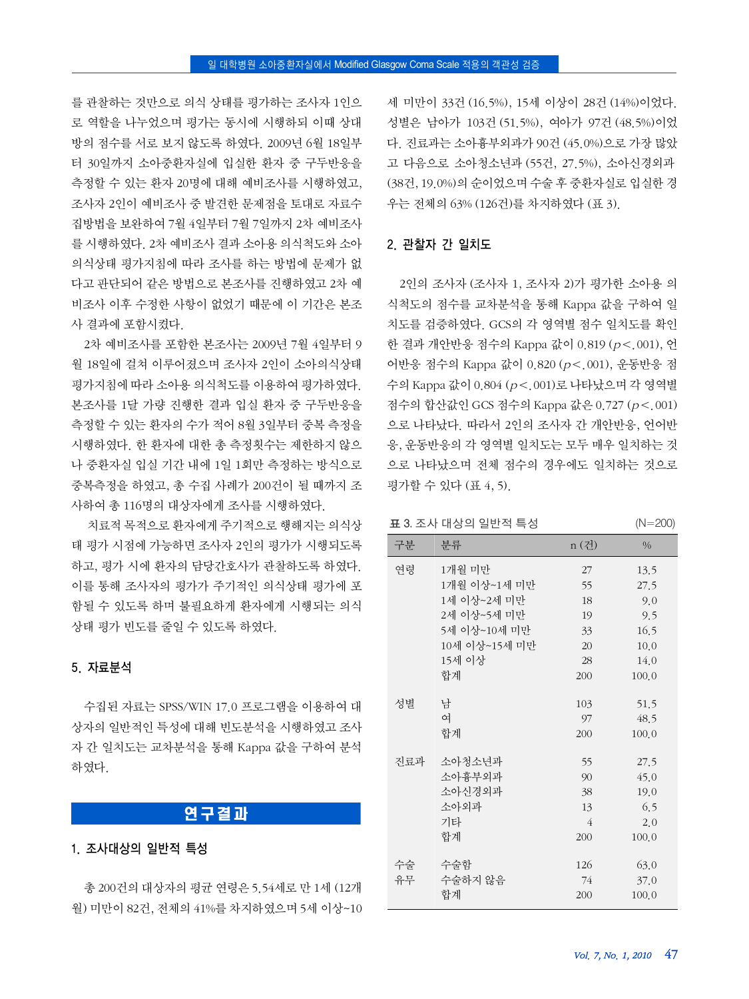를 관찰하는 것만으로 의식 상태를 평가하는 조사자 1인으 로 역할을 나누었으며 평가는 동시에 시행하되 이때 상대 방의 점수를 서로 보지 않도록 하였다. 2009년 6월 18일부 터 30일까지 소아중환자실에 입실한 환자 중 구두반응을 측정할 수 있는 환자 20명에 대해 예비조사를 시행하였고, 조사자 2인이 예비조사 중 발견한 문제점을 토대로 자료수 집방법을 보완하여 7월 4일부터 7월 7일까지 2차 예비조사 를 시행하였다. 2차 예비조사 결과 소아용 의식척도와 소아 의식상태 평가지침에 따라 조사를 하는 방법에 문제가 없 다고 판단되어 같은 방법으로 본조사를 진행하였고 2차 예 비조사 이후 수정한 사항이 없었기 때문에 이 기간은 본조 사 결과에 포함시켰다.

2차 예비조사를 포함한 본조사는 2009년 7월 4일부터 9 월 18일에 걸쳐 이루어졌으며 조사자 2인이 소아의식상태 평가지침에 따라 소아용 의식척도를 이용하여 평가하였다. 본조사를 1달 가량 진행한 결과 입실 환자 중 구두반응을 측정할 수 있는 환자의 수가 적어 8월 3일부터 중복 측정을 시행하였다. 한 환자에 대한 총 측정횟수는 제한하지 않으 나 중환자실 입실 기간 내에 1일 1회만 측정하는 방식으로 중복측정을 하였고, 총 수집 사례가 200건이 될 때까지 조 사하여 총 116명의 대상자에게 조사를 시행하였다.

치료적 목적으로 환자에게 주기적으로 행해지는 의식상 태 평가 시점에 가능하면 조사자 2인의 평가가 시행되도록 하고, 평가 시에 환자의 담당간호사가 관찰하도록 하였다. 이를 통해 조사자의 평가가 주기적인 의식상태 평가에 포 함될 수 있도록 하며 불필요하게 환자에게 시행되는 의식 상태 평가 빈도를 줄일 수 있도록 하였다.

### 5. 자료분석

수집된 자료는 SPSS/WIN 17.0 프로그램을 이용하여 대 상자의 일반적인 특성에 대해 빈도분석을 시행하였고 조사 자 간 일치도는 교차분석을 통해 Kappa 값을 구하여 분석 하였다.

### 연구결과

#### 1. 조사대상의 일반적 특성

총 200건의 대상자의 평균 연령은 5.54세로 만 1세 (12개 월) 미만이 82건, 전체의 41%를 차지하였으며 5세 이상~10

세 미만이 33건 (16.5%), 15세 이상이 28건 (14%)이었다. 성별은 남아가 103건 (51.5%), 여아가 97건 (48.5%)이었 다. 진료과는 소아흉부외과가 90건 (45.0%)으로 가장 많았 고 다음으로 소아청소년과 (55건, 27.5%), 소아신경외과 (38건, 19.0%)의 순이었으며 수술 후 중환자실로 입실한 경 우는 전체의 63% (126건)를 차지하였다 (표 3).

#### 2. 관찰자 간 일치도

2인의 조사자 (조사자 1, 조사자 2)가 평가한 소아용 의 식척도의 점수를 교차분석을 통해 Kappa 값을 구하여 일 치도를 검증하였다. GCS의 각 영역별 점수 일치도를 확인 한 결과 개안반응 점수의 Kappa 값이 0.819 (p<.001), 언 어반응 점수의 Kappa 값이 0.820 (p<.001), 운동반응 점 수의 Kappa 값이 0.804 (p<.001)로 나타났으며 각 영역별 점수의 합산값인 GCS 점수의 Kappa 값은 0.727 (p<.001) 으로 나타났다. 따라서 2인의 조사자 간 개안반응, 언어반 응, 운동반응의 각 영역별 일치도는 모두 매우 일치하는 것 으로 나타났으며 전체 점수의 경우에도 일치하는 것으로 평가할 수 있다 (표 4, 5).

#### 표 3. 조사 대상의 일반적 특성 (N=200)

| 구분  | 분류            | n (건) | $\frac{0}{0}$ |
|-----|---------------|-------|---------------|
| 여려  | 1개월 미만        | 27    | 13.5          |
|     | 1개월 이상~1세 미만  | 55    | 27.5          |
|     | 1세 이상~2세 미만   | 18    | 9.0           |
|     | 2세 이상~5세 미만   | 19    | 9.5           |
|     | 5세 이상~10세 미만  | 33    | 16.5          |
|     | 10세 이상~15세 미만 | 20    | 10.0          |
|     | 15세 이상        | 28    | 14.0          |
|     | 합계            | 200   | 100.0         |
|     |               |       |               |
| 성별  | 남             | 103   | 51.5          |
|     | 여             | 97    | 48.5          |
|     | 합계            | 200   | 100.0         |
|     |               |       |               |
| 진료과 | 소아청소년과        | 55    | 27.5          |
|     | 소아흉부외과        | 90    | 45.0          |
|     | 소아신경외과        | 38    | 19.0          |
|     | 소아외과          | 13    | 6.5           |
|     | 기타            | 4     | 2.0           |
|     | 합계            | 200   | 100.0         |
|     |               |       |               |
| 수술  | 수술함           | 126   | 63.0          |
| 유무  | 수술하지 않음       | 74    | 37.0          |
|     | 합계            | 200   | 100.0         |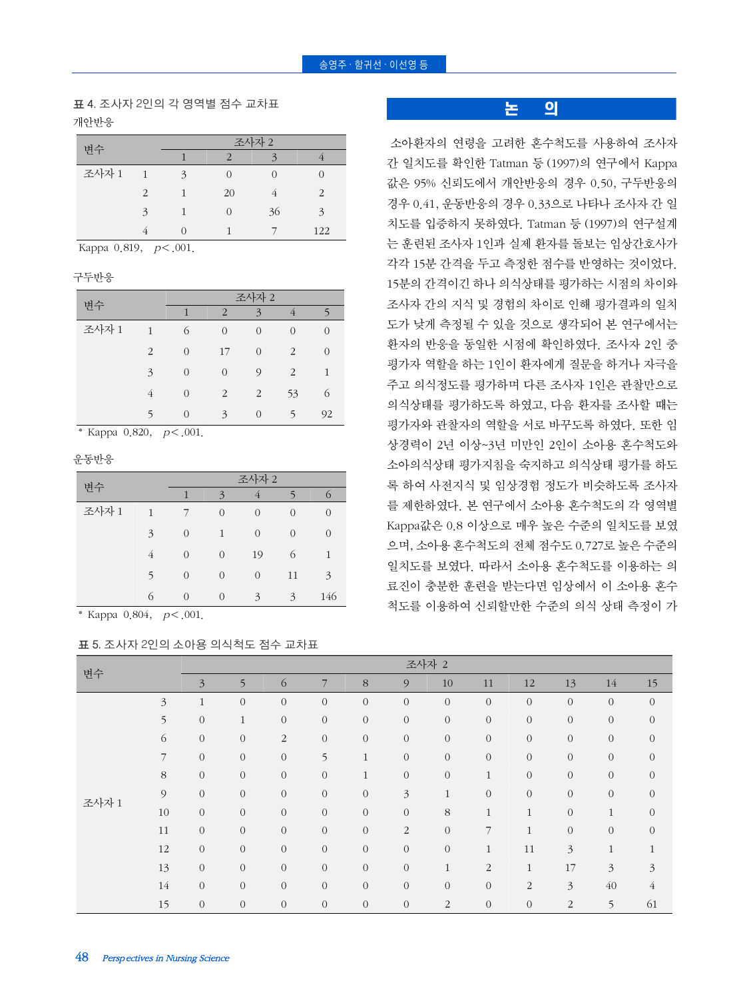#### $\triangle$ 영주 · 함귀선 · 이선영 등

## 표 4. 조사자 2인의 각 영역별 점수 교차표 개안반응

| 변수    |                | 조사자 2 |          |    |               |  |  |  |  |
|-------|----------------|-------|----------|----|---------------|--|--|--|--|
|       |                |       |          | 2  |               |  |  |  |  |
| 조사자 1 | $\overline{1}$ | 3     | 0        |    |               |  |  |  |  |
|       | $\mathcal{L}$  |       | 20       |    | $\mathcal{P}$ |  |  |  |  |
|       | 3              |       | $\Omega$ | 36 | $\mathbf{z}$  |  |  |  |  |
|       |                |       |          |    | 122           |  |  |  |  |

Kappa 0.819,  $p < .001$ .

구두반응

| 변수    |                | 조사자 2          |                |                |                |                |  |  |  |  |
|-------|----------------|----------------|----------------|----------------|----------------|----------------|--|--|--|--|
|       |                | 1              | $\overline{2}$ | 3              | 4              | 5              |  |  |  |  |
| 조사자 1 | $\mathbf{1}$   | 6              | $\overline{0}$ | $\overline{0}$ | $\overline{0}$ | $\overline{0}$ |  |  |  |  |
|       | $\overline{2}$ | $\overline{0}$ | 17             | $\Omega$       | $\overline{2}$ | $\Omega$       |  |  |  |  |
|       | 3              | $\overline{0}$ | $\overline{0}$ | 9              | 2              | 1              |  |  |  |  |
|       | 4              | $\overline{0}$ | $\overline{2}$ | 2              | 53             | 6              |  |  |  |  |
|       | 5              | $\Omega$       | 3              | $\Omega$       | 5              | 92             |  |  |  |  |

\* Kappa 0.820,  $p < .001$ .

운동반응

| 변수    |   |                |                |                |                |                |
|-------|---|----------------|----------------|----------------|----------------|----------------|
|       |   | 1              | 3              | $\overline{4}$ |                | $\Omega$       |
| 조사자 1 | 1 |                | $\overline{0}$ | $\overline{0}$ | $\overline{0}$ | 0              |
|       | 3 | $\overline{0}$ | 1              | $\overline{0}$ | $\overline{0}$ | $\overline{0}$ |
|       | 4 | $\overline{0}$ | $\overline{0}$ | 19             | 6              | $\mathbf{1}$   |
|       | 5 | $\overline{0}$ | $\overline{0}$ | $\overline{0}$ | 11             | 3              |
|       | 6 | $\Omega$       | $\overline{0}$ | 3              | 3              | 146            |

\* Kappa 0.804,  $p < .001$ .

#### 표 5. 조사자 2인의 소아용 의식척도 점수 교차표

논 의

소아환자의 연령을 고려한 혼수척도를 사용하여 조사자 간 일치도를 확인한 Tatman 등 (1997)의 연구에서 Kappa 값은 95% 신뢰도에서 개안반응의 경우 0.50, 구두반응의 경우 0.41, 운동반응의 경우 0.33으로 나타나 조사자 간 일 치도를 입증하지 못하였다. Tatman 등 (1997)의 연구설계 는 훈련된 조사자 1인과 실제 환자를 돌보는 임상간호사가 각각 15분 간격을 두고 측정한 점수를 반영하는 것이었다. 15분의 간격이긴 하나 의식상태를 평가하는 시점의 차이와 조사자 간의 지식 및 경험의 차이로 인해 평가결과의 일치 도가 낮게 측정될 수 있을 것으로 생각되어 본 연구에서는 환자의 반응을 동일한 시점에 확인하였다. 조사자 2인 중 평가자 역할을 하는 1인이 환자에게 질문을 하거나 자극을 주고 의식정도를 평가하며 다른 조사자 1인은 관찰만으로 의식상태를 평가하도록 하였고, 다음 환자를 조사할 때는 평가자와 관찰자의 역할을 서로 바꾸도록 하였다. 또한 임 상경력이 2년 이상~3년 미만인 2인이 소아용 혼수척도와 소아의식상태 평가지침을 숙지하고 의식상태 평가를 하도 록 하여 사전지식 및 임상경험 정도가 비슷하도록 조사자 를 제한하였다. 본 연구에서 소아용 혼수척도의 각 영역별 Kappa값은 0.8 이상으로 매우 높은 수준의 일치도를 보였 으며, 소아용 혼수척도의 전체 점수도 0.727로 높은 수준의 일치도를 보였다. 따라서 소아용 혼수척도를 이용하는 의 료진이 충분한 훈련을 받는다면 임상에서 이 소아용 혼수 척도를 이용하여 신뢰할만한 수준의 의식 상태 측정이 가

| 변수             |                | 조사자 2          |              |                  |              |                  |                |              |                |                |                  |                |                  |
|----------------|----------------|----------------|--------------|------------------|--------------|------------------|----------------|--------------|----------------|----------------|------------------|----------------|------------------|
|                |                | $\overline{3}$ | 5            | 6                | 7            | $\,8\,$          | 9              | 10           | 11             | 12             | 13               | 14             | 15               |
|                | $\mathfrak{Z}$ | $\mathbf{1}$   | $\mathbf{0}$ | $\mathbf{0}$     | $\mathbf{0}$ | $\overline{0}$   | $\mathbf{0}$   | $\mathbf{0}$ | $\mathbf{0}$   | $\overline{0}$ | $\sqrt{a}$       | $\mathbf{0}$   | $\sqrt{a}$       |
|                | 5              | $\overline{0}$ | $\mathbf{1}$ | $\boldsymbol{0}$ | $\mathbf{0}$ | $\boldsymbol{0}$ | $\mathbf{0}$   | $\,0\,$      | $\mathbf{0}$   | $\overline{0}$ | $\boldsymbol{0}$ | $\mathbf{0}$   | $\boldsymbol{0}$ |
|                | 6              | $\overline{0}$ | $\mathbf{0}$ | 2                | $\mathbf{0}$ | $\overline{0}$   | $\mathbf{0}$   | $\mathbf{0}$ | $\mathbf{0}$   | $\overline{0}$ | $\sqrt{a}$       | $\mathbf{0}$   | $\sqrt{a}$       |
| $\overline{7}$ |                | $\overline{0}$ | $\mathbf{0}$ | $\mathbf{0}$     | 5            | $\mathbf{1}$     | $\mathbf{0}$   | $\mathbf{0}$ | $\mathbf{0}$   | $\mathbf{O}$   | $\sqrt{a}$       | $\mathbf{0}$   | $\sqrt{a}$       |
|                | $8\,$          | $\overline{0}$ | $\mathbf{0}$ | $\mathbf{0}$     | $\mathbf{0}$ | $\mathbf{1}$     | $\mathbf 0$    | $\mathbf{0}$ | $\mathbf{1}$   | $\overline{0}$ | $\sqrt{a}$       | $\mathbf{0}$   | $\sqrt{a}$       |
| 조사자 1          | 9              | $\overline{0}$ | $\mathbf{0}$ | $\mathbf{0}$     | $\mathbf{0}$ | $\boldsymbol{0}$ | $\mathfrak{Z}$ | $\mathbf{1}$ | $\overline{0}$ | $\overline{0}$ | $\sqrt{a}$       | $\mathbf{0}$   | $\sqrt{a}$       |
|                | 10             | $\overline{0}$ | $\mathbf{0}$ | $\mathbf{0}$     | $\mathbf{0}$ | $\boldsymbol{0}$ | $\mathbf{0}$   | $8\,$        | $\mathbf{1}$   | $\mathbf{1}$   | $\sqrt{a}$       | 1              | $\mathbf{0}$     |
|                | 11             | $\overline{0}$ | $\mathbf{0}$ | $\mathbf{0}$     | $\mathbf{0}$ | $\boldsymbol{0}$ | $\overline{2}$ | $\mathbf{0}$ | 7              | $\mathbf{1}$   | $\sqrt{a}$       | $\mathbf{0}$   | $\mathbf{0}$     |
|                | 12             | $\mathbf{0}$   | $\mathbf{0}$ | $\overline{0}$   | $\mathbf{0}$ | $\overline{0}$   | $\mathbf{0}$   | $\mathbf{0}$ | $\mathbf{1}$   | 11             | $\mathfrak{Z}$   | 1              | 1                |
|                | 13             | $\overline{0}$ | $\mathbf{0}$ | $\mathbf{0}$     | $\mathbf{0}$ | $\boldsymbol{0}$ | $\mathbf{0}$   | $\mathbf{1}$ | $\overline{2}$ | $\mathbf{1}$   | 17               | $\mathfrak{Z}$ | $\mathfrak{Z}$   |
|                | 14             | $\overline{0}$ | $\mathbf{0}$ | $\mathbf{0}$     | $\mathbf{0}$ | $\overline{0}$   | $\mathbf{0}$   | $\mathbf{0}$ | $\overline{0}$ | $\overline{2}$ | $\mathfrak{Z}$   | 40             | $\overline{4}$   |
|                | 15             | $\mathbf{0}$   | $\mathbf{0}$ | $\mathbf{0}$     | $\mathbf{0}$ | $\overline{0}$   | $\mathbf{0}$   | 2            | $\mathbf{0}$   | $\mathbf{O}$   | $\overline{2}$   | 5              | 61               |